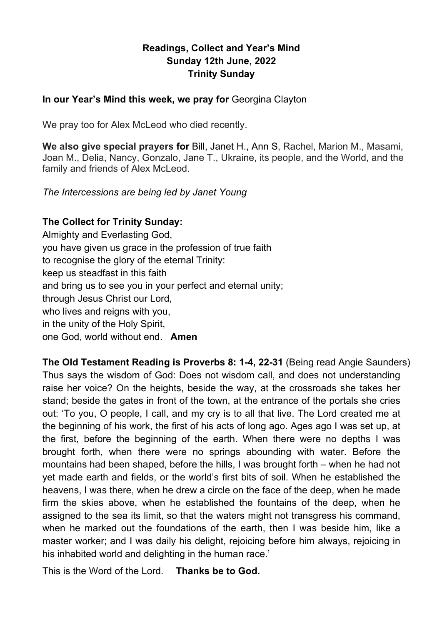### **Readings, Collect and Year's Mind Sunday 12th June, 2022 Trinity Sunday**

### **In our Year's Mind this week, we pray for** Georgina Clayton

We pray too for Alex McLeod who died recently.

**We also give special prayers for** Bill, Janet H., Ann S, Rachel, Marion M., Masami, Joan M., Delia, Nancy, Gonzalo, Jane T., Ukraine, its people, and the World, and the family and friends of Alex McLeod.

*The Intercessions are being led by Janet Young*

### **The Collect for Trinity Sunday:**

Almighty and Everlasting God, you have given us grace in the profession of true faith to recognise the glory of the eternal Trinity: keep us steadfast in this faith and bring us to see you in your perfect and eternal unity; through Jesus Christ our Lord, who lives and reigns with you, in the unity of the Holy Spirit, one God, world without end. **Amen**

**The Old Testament Reading is Proverbs 8: 1-4, 22-31** (Being read Angie Saunders) Thus says the wisdom of God: Does not wisdom call, and does not understanding raise her voice? On the heights, beside the way, at the crossroads she takes her stand; beside the gates in front of the town, at the entrance of the portals she cries out: 'To you, O people, I call, and my cry is to all that live. The Lord created me at the beginning of his work, the first of his acts of long ago. Ages ago I was set up, at the first, before the beginning of the earth. When there were no depths I was brought forth, when there were no springs abounding with water. Before the mountains had been shaped, before the hills, I was brought forth – when he had not yet made earth and fields, or the world's first bits of soil. When he established the heavens, I was there, when he drew a circle on the face of the deep, when he made firm the skies above, when he established the fountains of the deep, when he assigned to the sea its limit, so that the waters might not transgress his command, when he marked out the foundations of the earth, then I was beside him, like a master worker; and I was daily his delight, rejoicing before him always, rejoicing in his inhabited world and delighting in the human race.'

This is the Word of the Lord. **Thanks be to God.**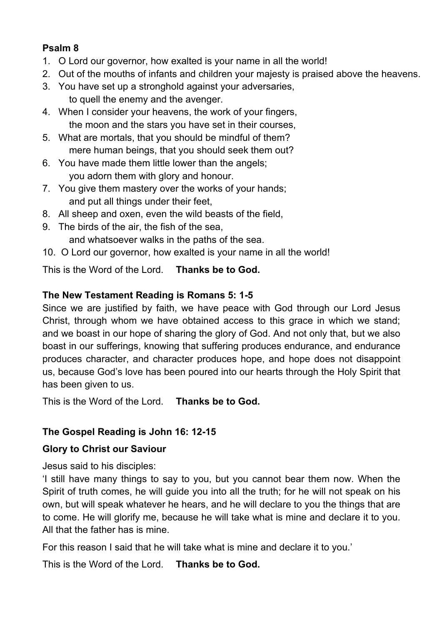## **Psalm 8**

- 1. O Lord our governor, how exalted is your name in all the world!
- 2. Out of the mouths of infants and children your majesty is praised above the heavens.
- 3. You have set up a stronghold against your adversaries, to quell the enemy and the avenger.
- 4. When I consider your heavens, the work of your fingers, the moon and the stars you have set in their courses,
- 5. What are mortals, that you should be mindful of them? mere human beings, that you should seek them out?
- 6. You have made them little lower than the angels; you adorn them with glory and honour.
- 7. You give them mastery over the works of your hands; and put all things under their feet,
- 8. All sheep and oxen, even the wild beasts of the field,
- 9. The birds of the air, the fish of the sea, and whatsoever walks in the paths of the sea.
- 10. O Lord our governor, how exalted is your name in all the world!

This is the Word of the Lord. **Thanks be to God.**

## **The New Testament Reading is Romans 5: 1-5**

Since we are justified by faith, we have peace with God through our Lord Jesus Christ, through whom we have obtained access to this grace in which we stand; and we boast in our hope of sharing the glory of God. And not only that, but we also boast in our sufferings, knowing that suffering produces endurance, and endurance produces character, and character produces hope, and hope does not disappoint us, because God's love has been poured into our hearts through the Holy Spirit that has been given to us.

This is the Word of the Lord. **Thanks be to God.**

# **The Gospel Reading is John 16: 12-15**

## **Glory to Christ our Saviour**

Jesus said to his disciples:

'I still have many things to say to you, but you cannot bear them now. When the Spirit of truth comes, he will guide you into all the truth; for he will not speak on his own, but will speak whatever he hears, and he will declare to you the things that are to come. He will glorify me, because he will take what is mine and declare it to you. All that the father has is mine.

For this reason I said that he will take what is mine and declare it to you.'

This is the Word of the Lord. **Thanks be to God.**